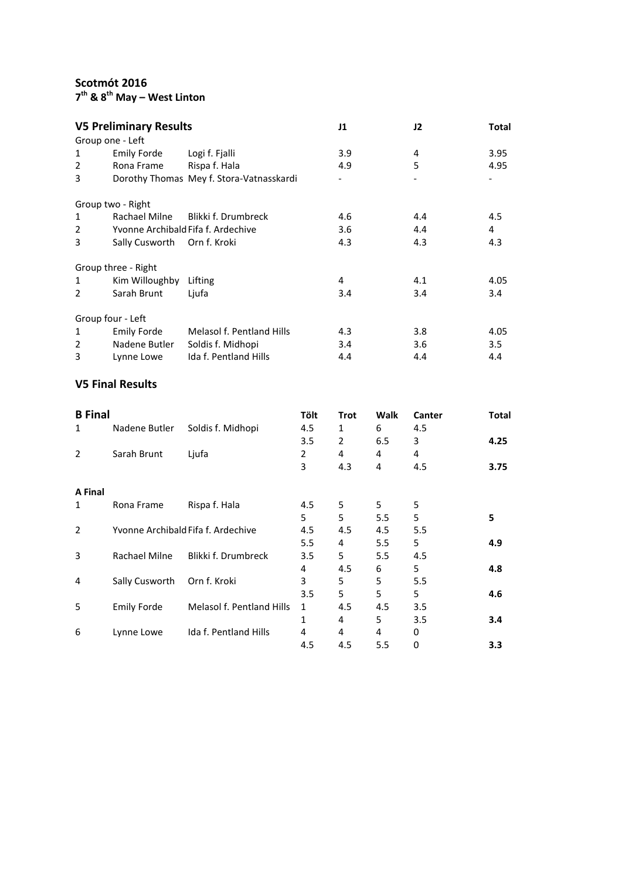**Scotmót 2016**

**th & 8th May – West Linton**

| <b>V5 Preliminary Results</b> |                                    |                                          | J1            | J2               | Total |
|-------------------------------|------------------------------------|------------------------------------------|---------------|------------------|-------|
|                               | Group one - Left                   |                                          |               |                  |       |
| 1                             | <b>Emily Forde</b>                 | Logi f. Fjalli                           | 3.9           | 4                | 3.95  |
| 2                             | Rona Frame                         | Rispa f. Hala                            | 4.9           | 5                | 4.95  |
| 3                             |                                    | Dorothy Thomas Mey f. Stora-Vatnasskardi |               |                  |       |
|                               | Group two - Right                  |                                          |               |                  |       |
| $\mathbf{1}$                  | Rachael Milne                      | Blikki f. Drumbreck                      | 4.6           | 4.4              | 4.5   |
| 2                             | Yvonne Archibald Fifa f. Ardechive |                                          | 3.6           | 4.4              | 4     |
| 3                             | Sally Cusworth Orn f. Kroki        |                                          | 4.3           | 4.3              | 4.3   |
|                               | Group three - Right                |                                          |               |                  |       |
| 1                             | Kim Willoughby                     | Lifting                                  | 4             | 4.1              | 4.05  |
| 2                             | Sarah Brunt                        | Ljufa                                    | 3.4           | 3.4              | 3.4   |
|                               | Group four - Left                  |                                          |               |                  |       |
| 1                             | <b>Emily Forde</b>                 | <b>Melasol f. Pentland Hills</b>         | 4.3           | 3.8 <sub>2</sub> | 4.05  |
| 2                             | Nadene Butler                      | Soldis f. Midhopi                        | $3.4^{\circ}$ | 3.6              | 3.5   |
| 3                             | Lynne Lowe                         | Ida f. Pentland Hills                    | 4.4           | 4.4              | 4.4   |

## **V5 Final Results**

| <b>B</b> Final                     |                           | Tölt | <b>Trot</b> | Walk | Canter  | Total |
|------------------------------------|---------------------------|------|-------------|------|---------|-------|
| Nadene Butler                      | Soldis f. Midhopi         | 4.5  | 1           | 6    | 4.5     |       |
|                                    |                           | 3.5  | 2           | 6.5  | 3       | 4.25  |
| Sarah Brunt                        | Ljufa                     | 2    | 4           | 4    | 4       |       |
|                                    |                           | 3    | 4.3         | 4    | 4.5     | 3.75  |
|                                    |                           |      |             |      |         |       |
| Rona Frame                         | Rispa f. Hala             | 4.5  | 5           | 5    | 5       |       |
|                                    |                           | 5    | 5           | 5.5  | 5       | 5     |
| Yvonne Archibald Fifa f. Ardechive |                           | 4.5  | 4.5         | 4.5  | 5.5     |       |
|                                    |                           | 5.5  | 4           | 5.5  | 5       | 4.9   |
| Rachael Milne                      | Blikki f. Drumbreck       | 3.5  | 5           | 5.5  | 4.5     |       |
|                                    |                           | 4    | 4.5         | 6    | 5       | 4.8   |
| Sally Cusworth                     | Orn f. Kroki              | 3    | 5           | 5    | 5.5     |       |
|                                    |                           | 3.5  | 5           | 5    | 5       | 4.6   |
| <b>Emily Forde</b>                 | Melasol f. Pentland Hills | 1    | 4.5         | 4.5  | 3.5     |       |
|                                    |                           | 1    | 4           | 5    | $3.5\,$ | 3.4   |
| Lynne Lowe                         | Ida f. Pentland Hills     | 4    | 4           | 4    | 0       |       |
|                                    |                           | 4.5  | 4.5         | 5.5  | 0       | 3.3   |
|                                    |                           |      |             |      |         |       |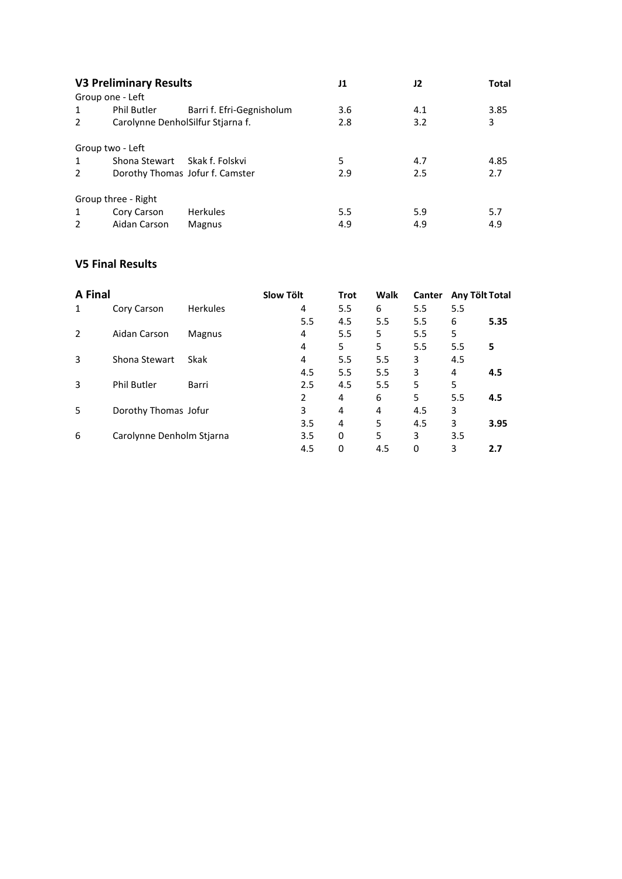|               | <b>V3 Preliminary Results</b>     |                           | J1  | J2  | Total |
|---------------|-----------------------------------|---------------------------|-----|-----|-------|
|               | Group one - Left                  |                           |     |     |       |
| $\mathbf{1}$  | <b>Phil Butler</b>                | Barri f. Efri-Gegnisholum | 3.6 | 4.1 | 3.85  |
| 2             | Carolynne DenholSilfur Stjarna f. |                           | 2.8 | 3.2 | 3     |
|               | Group two - Left                  |                           |     |     |       |
| $\mathbf{1}$  | Shona Stewart Skak f. Folskvi     |                           | 5   | 4.7 | 4.85  |
| $\mathcal{P}$ | Dorothy Thomas Jofur f. Camster   |                           | 2.9 | 2.5 | 2.7   |
|               | Group three - Right               |                           |     |     |       |
| $\mathbf{1}$  | Cory Carson                       | <b>Herkules</b>           | 5.5 | 5.9 | 5.7   |
| $\mathcal{P}$ | Aidan Carson                      | Magnus                    | 4.9 | 4.9 | 4.9   |

## **V5 Final Results**

| <b>A Final</b> |                           |                 | <b>Slow Tölt</b> |     | <b>Trot</b> | Walk | <b>Canter</b> | Any Tölt Total |      |
|----------------|---------------------------|-----------------|------------------|-----|-------------|------|---------------|----------------|------|
| $\mathbf{1}$   | Cory Carson               | <b>Herkules</b> |                  | 4   | 5.5         | 6    | 5.5           | 5.5            |      |
|                |                           |                 |                  | 5.5 | 4.5         | 5.5  | 5.5           | 6              | 5.35 |
| 2              | Aidan Carson              | Magnus          |                  | 4   | 5.5         | 5    | 5.5           | 5              |      |
|                |                           |                 |                  | 4   | 5           | 5    | 5.5           | 5.5            | 5    |
| 3              | Shona Stewart             | Skak            |                  | 4   | 5.5         | 5.5  | 3             | 4.5            |      |
|                |                           |                 |                  | 4.5 | 5.5         | 5.5  | 3             | 4              | 4.5  |
| 3              | <b>Phil Butler</b>        | Barri           |                  | 2.5 | 4.5         | 5.5  | 5             | 5              |      |
|                |                           |                 |                  | 2   | 4           | 6    | 5             | 5.5            | 4.5  |
| 5              | Dorothy Thomas Jofur      |                 |                  | 3   | 4           | 4    | 4.5           | 3              |      |
|                |                           |                 |                  | 3.5 | 4           | 5    | 4.5           | 3              | 3.95 |
| 6              | Carolynne Denholm Stjarna |                 |                  | 3.5 | 0           | 5    | 3             | 3.5            |      |
|                |                           |                 |                  | 4.5 | 0           | 4.5  | 0             | 3              | 2.7  |
|                |                           |                 |                  |     |             |      |               |                |      |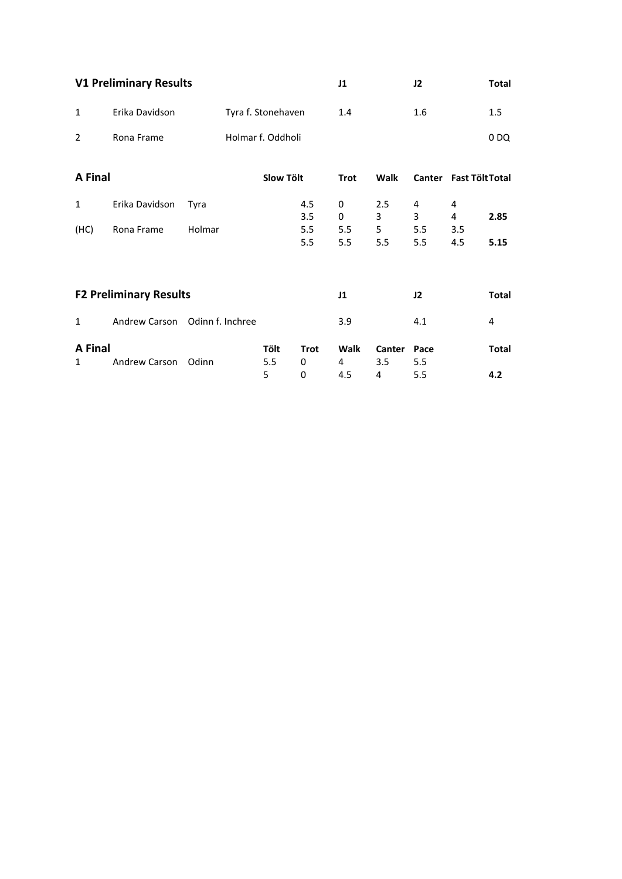|                     | <b>V1 Preliminary Results</b>  |        |                    | J1               |             | J2            |             | <b>Total</b>           |              |
|---------------------|--------------------------------|--------|--------------------|------------------|-------------|---------------|-------------|------------------------|--------------|
| $\mathbf{1}$        | Erika Davidson                 |        | Tyra f. Stonehaven |                  | 1.4         |               | 1.6         |                        | 1.5          |
| $\overline{2}$      | Rona Frame                     |        | Holmar f. Oddholi  |                  |             |               |             |                        | 0DQ          |
| <b>A</b> Final      |                                |        | <b>Slow Tölt</b>   |                  | <b>Trot</b> | Walk          |             | Canter Fast Tölt Total |              |
| $\mathbf{1}$        | Erika Davidson                 | Tyra   |                    | 4.5<br>3.5       | 0<br>0      | 2.5<br>3      | 4<br>3      | 4<br>4                 | 2.85         |
| (HC)                | Rona Frame                     | Holmar |                    | 5.5<br>5.5       | 5.5<br>5.5  | 5<br>5.5      | 5.5<br>5.5  | 3.5<br>4.5             | 5.15         |
|                     |                                |        |                    |                  |             |               |             |                        |              |
|                     | <b>F2 Preliminary Results</b>  |        |                    |                  | J1          |               | J2          |                        | Total        |
| $\mathbf{1}$        | Andrew Carson Odinn f. Inchree |        |                    |                  | 3.9         |               | 4.1         |                        | 4            |
| <b>A</b> Final<br>1 | Andrew Carson                  | Odinn  | Tölt<br>5.5        | <b>Trot</b><br>0 | Walk<br>4   | Canter<br>3.5 | Pace<br>5.5 |                        | <b>Total</b> |
|                     |                                |        | 5                  | 0                | 4.5         | 4             | 5.5         |                        | 4.2          |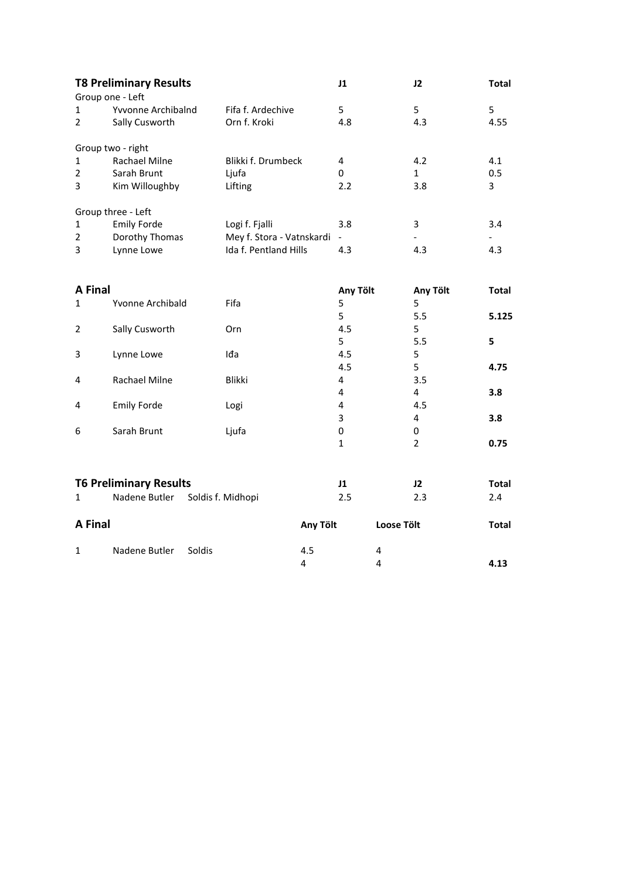|                | <b>T8 Preliminary Results</b><br>Group one - Left |                           | J1             |                   | J2             | <b>Total</b> |
|----------------|---------------------------------------------------|---------------------------|----------------|-------------------|----------------|--------------|
| $\mathbf{1}$   | Yvvonne Archibalnd                                | Fifa f. Ardechive         | 5              |                   | 5              | 5            |
| 2              | Sally Cusworth                                    | Orn f. Kroki              | 4.8            |                   | 4.3            | 4.55         |
|                | Group two - right                                 |                           |                |                   |                |              |
| 1              | <b>Rachael Milne</b>                              | Blikki f. Drumbeck        | 4              |                   | 4.2            | 4.1          |
| $\overline{2}$ | Sarah Brunt                                       | Ljufa                     | $\Omega$       |                   | $\mathbf{1}$   | 0.5          |
| 3              | Kim Willoughby                                    | Lifting                   | 2.2            |                   | 3.8            | 3            |
|                | Group three - Left                                |                           |                |                   |                |              |
| $\mathbf{1}$   | <b>Emily Forde</b>                                | Logi f. Fjalli            | 3.8            |                   | 3              | 3.4          |
| $\overline{2}$ | Dorothy Thomas                                    | Mey f. Stora - Vatnskardi | $\blacksquare$ |                   |                |              |
| 3              | Lynne Lowe                                        | Ida f. Pentland Hills     | 4.3            |                   | 4.3            | 4.3          |
|                |                                                   |                           |                |                   |                |              |
| A Final        |                                                   |                           | Any Tölt       |                   | Any Tölt       | <b>Total</b> |
| 1              | Yvonne Archibald                                  | Fifa                      | 5              |                   | 5              |              |
|                |                                                   |                           | 5              |                   | 5.5            | 5.125        |
| $\overline{2}$ | Sally Cusworth                                    | Orn                       | 4.5            |                   | 5              |              |
|                |                                                   |                           | 5              |                   | 5.5            | 5            |
| 3              | Lynne Lowe                                        | Iđa                       | 4.5            |                   | 5              |              |
|                |                                                   |                           | 4.5            |                   | 5              | 4.75         |
| 4              | <b>Rachael Milne</b>                              | <b>Blikki</b>             | 4              |                   | 3.5            |              |
|                |                                                   |                           | 4              |                   | 4              | 3.8          |
| 4              | <b>Emily Forde</b>                                | Logi                      | 4              |                   | 4.5            |              |
|                |                                                   |                           | 3              |                   | 4              | 3.8          |
| 6              | Sarah Brunt                                       | Ljufa                     | 0              |                   | 0              |              |
|                |                                                   |                           | $\mathbf{1}$   |                   | $\overline{2}$ | 0.75         |
|                |                                                   |                           |                |                   |                |              |
|                | <b>T6 Preliminary Results</b>                     |                           | J1             |                   | J2             | <b>Total</b> |
| $\mathbf{1}$   | Nadene Butler                                     | Soldis f. Midhopi         | 2.5            |                   | 2.3            | 2.4          |
| <b>A Final</b> |                                                   | Any Tölt                  |                | <b>Loose Tölt</b> |                | <b>Total</b> |

4 **4.13**

1 Nadene Butler Soldis 4.5<br>4